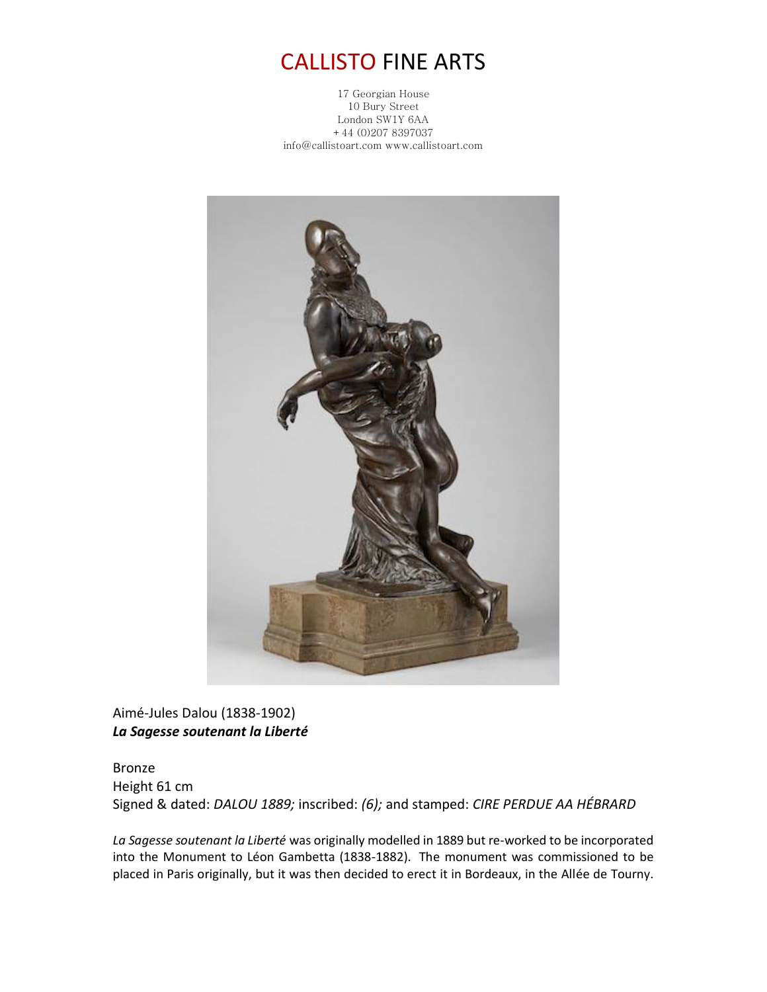## CALLISTO FINE ARTS

17 Georgian House 10 Bury Street London SW1Y 6AA +44 (0)207 8397037 info@callistoart.com www.callistoart.com



Aimé-Jules Dalou (1838-1902) *La Sagesse soutenant la Liberté*

Bronze Height 61 cm Signed & dated: *DALOU 1889;* inscribed: *(6);* and stamped: *CIRE PERDUE AA HÉBRARD*

*La Sagesse soutenant la Liberté* was originally modelled in 1889 but re-worked to be incorporated into the Monument to Léon Gambetta (1838-1882). The monument was commissioned to be placed in Paris originally, but it was then decided to erect it in Bordeaux, in the Allée de Tourny.